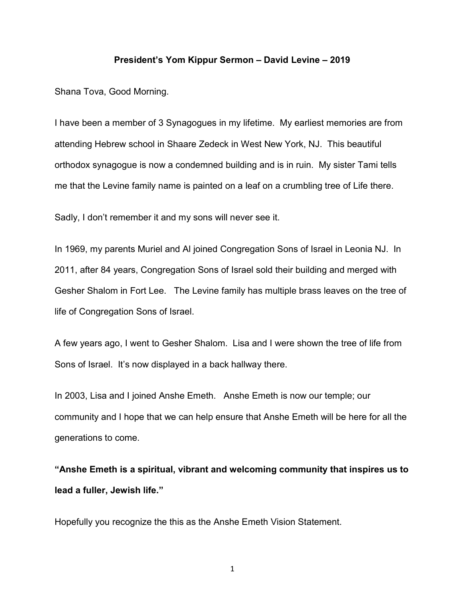## President's Yom Kippur Sermon – David Levine – 2019

Shana Tova, Good Morning.

I have been a member of 3 Synagogues in my lifetime. My earliest memories are from attending Hebrew school in Shaare Zedeck in West New York, NJ. This beautiful orthodox synagogue is now a condemned building and is in ruin. My sister Tami tells me that the Levine family name is painted on a leaf on a crumbling tree of Life there.

Sadly, I don't remember it and my sons will never see it.

In 1969, my parents Muriel and Al joined Congregation Sons of Israel in Leonia NJ. In 2011, after 84 years, Congregation Sons of Israel sold their building and merged with Gesher Shalom in Fort Lee. The Levine family has multiple brass leaves on the tree of life of Congregation Sons of Israel.

A few years ago, I went to Gesher Shalom. Lisa and I were shown the tree of life from Sons of Israel. It's now displayed in a back hallway there.

In 2003, Lisa and I joined Anshe Emeth. Anshe Emeth is now our temple; our community and I hope that we can help ensure that Anshe Emeth will be here for all the generations to come.

"Anshe Emeth is a spiritual, vibrant and welcoming community that inspires us to lead a fuller, Jewish life."

Hopefully you recognize the this as the Anshe Emeth Vision Statement.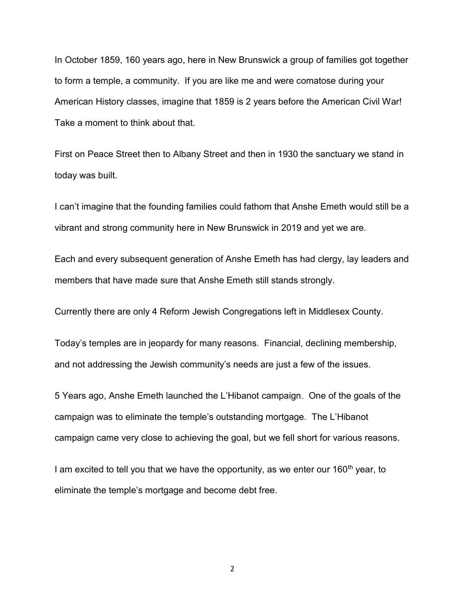In October 1859, 160 years ago, here in New Brunswick a group of families got together to form a temple, a community. If you are like me and were comatose during your American History classes, imagine that 1859 is 2 years before the American Civil War! Take a moment to think about that.

First on Peace Street then to Albany Street and then in 1930 the sanctuary we stand in today was built.

I can't imagine that the founding families could fathom that Anshe Emeth would still be a vibrant and strong community here in New Brunswick in 2019 and yet we are.

Each and every subsequent generation of Anshe Emeth has had clergy, lay leaders and members that have made sure that Anshe Emeth still stands strongly.

Currently there are only 4 Reform Jewish Congregations left in Middlesex County.

Today's temples are in jeopardy for many reasons. Financial, declining membership, and not addressing the Jewish community's needs are just a few of the issues.

5 Years ago, Anshe Emeth launched the L'Hibanot campaign. One of the goals of the campaign was to eliminate the temple's outstanding mortgage. The L'Hibanot campaign came very close to achieving the goal, but we fell short for various reasons.

I am excited to tell you that we have the opportunity, as we enter our  $160<sup>th</sup>$  year, to eliminate the temple's mortgage and become debt free.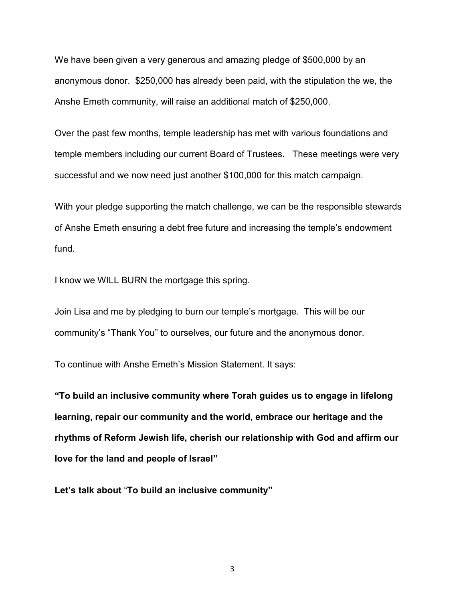We have been given a very generous and amazing pledge of \$500,000 by an anonymous donor. \$250,000 has already been paid, with the stipulation the we, the Anshe Emeth community, will raise an additional match of \$250,000.

Over the past few months, temple leadership has met with various foundations and temple members including our current Board of Trustees. These meetings were very successful and we now need just another \$100,000 for this match campaign.

With your pledge supporting the match challenge, we can be the responsible stewards of Anshe Emeth ensuring a debt free future and increasing the temple's endowment fund.

I know we WILL BURN the mortgage this spring.

Join Lisa and me by pledging to burn our temple's mortgage. This will be our community's "Thank You" to ourselves, our future and the anonymous donor.

To continue with Anshe Emeth's Mission Statement. It says:

"To build an inclusive community where Torah guides us to engage in lifelong learning, repair our community and the world, embrace our heritage and the rhythms of Reform Jewish life, cherish our relationship with God and affirm our love for the land and people of Israel"

Let's talk about "To build an inclusive community"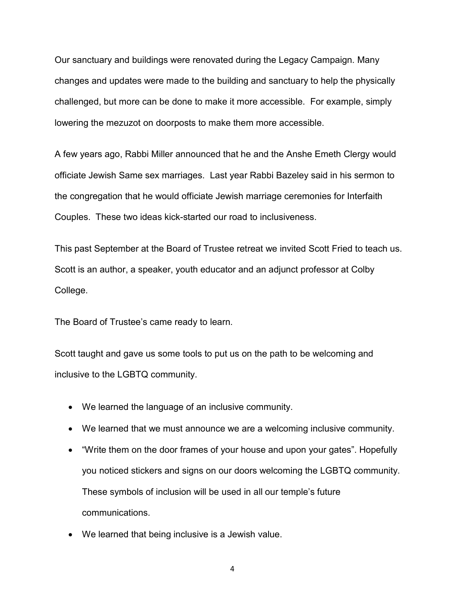Our sanctuary and buildings were renovated during the Legacy Campaign. Many changes and updates were made to the building and sanctuary to help the physically challenged, but more can be done to make it more accessible. For example, simply lowering the mezuzot on doorposts to make them more accessible.

A few years ago, Rabbi Miller announced that he and the Anshe Emeth Clergy would officiate Jewish Same sex marriages. Last year Rabbi Bazeley said in his sermon to the congregation that he would officiate Jewish marriage ceremonies for Interfaith Couples. These two ideas kick-started our road to inclusiveness.

This past September at the Board of Trustee retreat we invited Scott Fried to teach us. Scott is an author, a speaker, youth educator and an adjunct professor at Colby College.

The Board of Trustee's came ready to learn.

Scott taught and gave us some tools to put us on the path to be welcoming and inclusive to the LGBTQ community.

- We learned the language of an inclusive community.
- We learned that we must announce we are a welcoming inclusive community.
- "Write them on the door frames of your house and upon your gates". Hopefully you noticed stickers and signs on our doors welcoming the LGBTQ community. These symbols of inclusion will be used in all our temple's future communications.
- We learned that being inclusive is a Jewish value.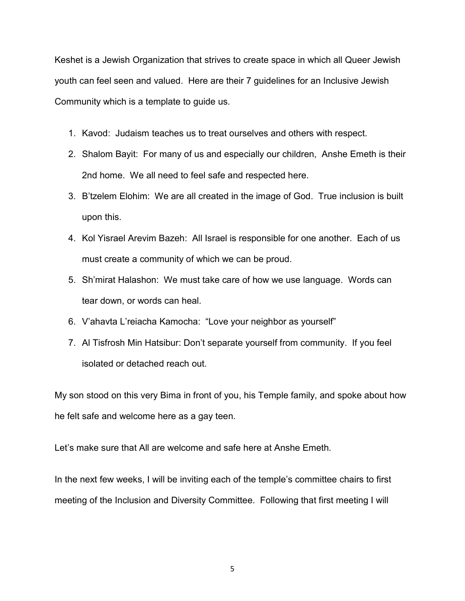Keshet is a Jewish Organization that strives to create space in which all Queer Jewish youth can feel seen and valued. Here are their 7 guidelines for an Inclusive Jewish Community which is a template to guide us.

- 1. Kavod: Judaism teaches us to treat ourselves and others with respect.
- 2. Shalom Bayit: For many of us and especially our children, Anshe Emeth is their 2nd home. We all need to feel safe and respected here.
- 3. B'tzelem Elohim: We are all created in the image of God. True inclusion is built upon this.
- 4. Kol Yisrael Arevim Bazeh: All Israel is responsible for one another. Each of us must create a community of which we can be proud.
- 5. Sh'mirat Halashon: We must take care of how we use language. Words can tear down, or words can heal.
- 6. V'ahavta L'reiacha Kamocha: "Love your neighbor as yourself"
- 7. Al Tisfrosh Min Hatsibur: Don't separate yourself from community. If you feel isolated or detached reach out.

My son stood on this very Bima in front of you, his Temple family, and spoke about how he felt safe and welcome here as a gay teen.

Let's make sure that All are welcome and safe here at Anshe Emeth.

In the next few weeks, I will be inviting each of the temple's committee chairs to first meeting of the Inclusion and Diversity Committee. Following that first meeting I will